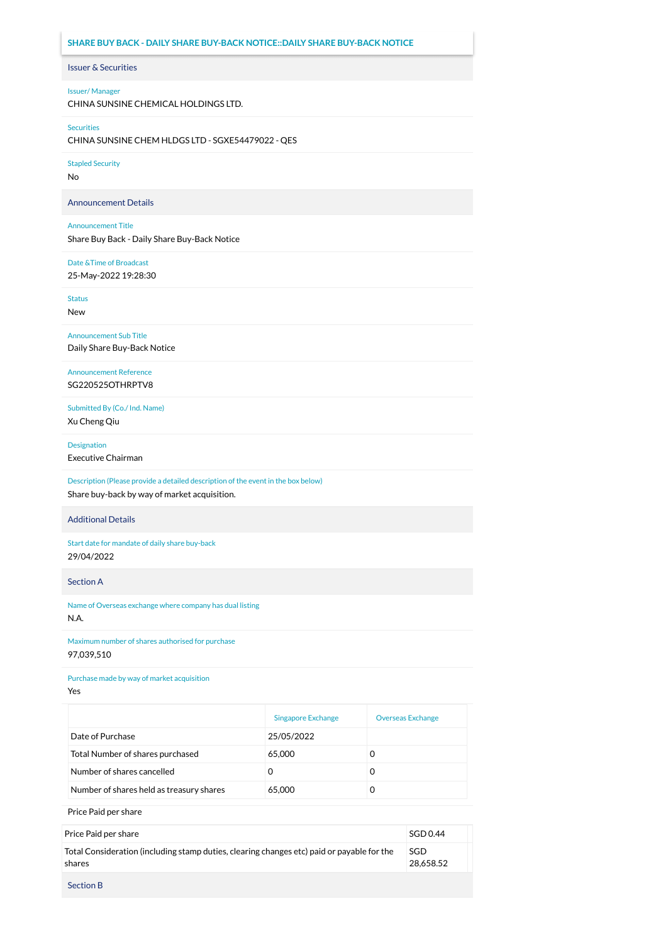# Issuer & Securities **SHARE BUY BACK - DAILY SHARE BUY-BACK NOTICE::DAILY SHARE BUY-BACK NOTICE**

### Issuer/ Manager

CHINA SUNSINE CHEMICAL HOLDINGS LTD.

#### Securities

CHINA SUNSINE CHEM HLDGS LTD - SGXE54479022 - QES

Stapled Security

No

Announcement Details

#### Announcement Title

Share Buy Back - Daily Share Buy-Back Notice

## Date &Time of Broadcast

25-May-2022 19:28:30

Status

New

Announcement Sub Title Daily Share Buy-Back Notice

Announcement Reference SG220525OTHRPTV8

Submitted By (Co./ Ind. Name) Xu Cheng Qiu

Designation

Executive Chairman

Description (Please provide a detailed description of the event in the box below) Share buy-back by way of market acquisition.

## Additional Details

Start date for mandate of daily share buy-back 29/04/2022

Section A

Name of Overseas exchange where company has dual listing N.A.

Maximum number of shares authorised for purchase 97,039,510

Purchase made by way of market acquisition

Yes

|                                          | <b>Singapore Exchange</b> | <b>Overseas Exchange</b> |
|------------------------------------------|---------------------------|--------------------------|
| Date of Purchase                         | 25/05/2022                |                          |
| Total Number of shares purchased         | 65,000                    | O                        |
| Number of shares cancelled               | O                         | O                        |
| Number of shares held as treasury shares | 65,000                    |                          |

Price Paid per share

| Price Paid per share                                                                                 | SGD 0.44         |  |
|------------------------------------------------------------------------------------------------------|------------------|--|
| Total Consideration (including stamp duties, clearing changes etc) paid or payable for the<br>shares | SGD<br>28.658.52 |  |
| <b>Section B</b>                                                                                     |                  |  |